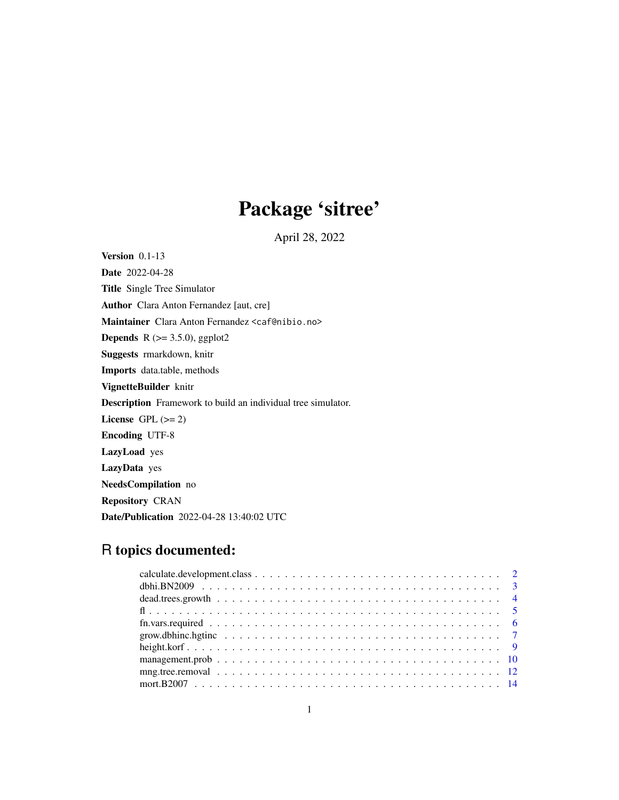# Package 'sitree'

April 28, 2022

<span id="page-0-0"></span>Version 0.1-13 Date 2022-04-28 Title Single Tree Simulator Author Clara Anton Fernandez [aut, cre] Maintainer Clara Anton Fernandez <caf@nibio.no> **Depends** R  $(>= 3.5.0)$ , ggplot2 Suggests rmarkdown, knitr Imports data.table, methods VignetteBuilder knitr Description Framework to build an individual tree simulator. License GPL  $(>= 2)$ Encoding UTF-8 LazyLoad yes LazyData yes NeedsCompilation no Repository CRAN Date/Publication 2022-04-28 13:40:02 UTC

# R topics documented: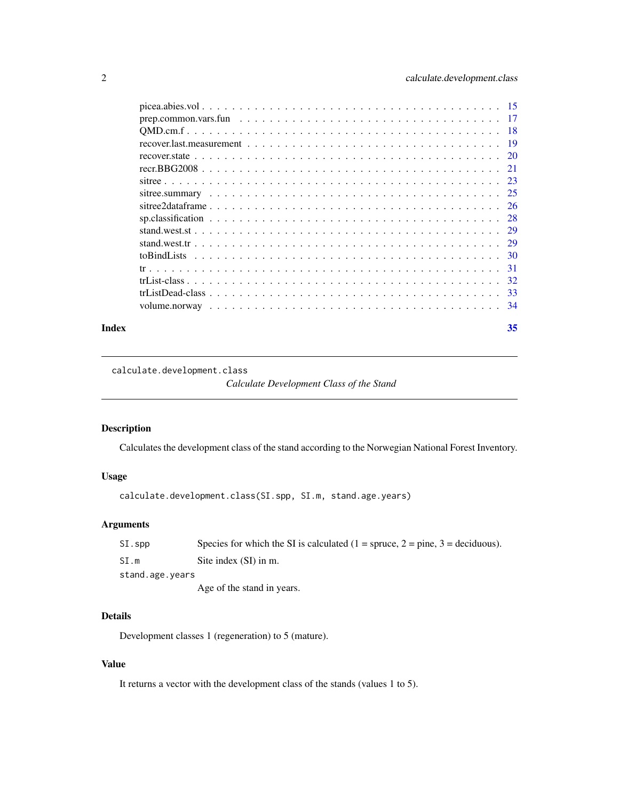<span id="page-1-0"></span>

| Index | 35 |
|-------|----|
|       |    |
|       |    |
|       |    |
|       |    |
|       |    |
|       |    |
|       |    |
|       |    |
|       |    |
|       |    |
|       |    |
|       |    |
|       |    |
|       |    |
|       |    |
|       |    |
|       |    |

calculate.development.class

*Calculate Development Class of the Stand*

# Description

Calculates the development class of the stand according to the Norwegian National Forest Inventory.

# Usage

calculate.development.class(SI.spp, SI.m, stand.age.years)

# Arguments

| $SI$ .spp       | Species for which the SI is calculated $(1 =$ spruce, $2 =$ pine, $3 =$ deciduous). |
|-----------------|-------------------------------------------------------------------------------------|
| SI.m            | Site index (SI) in m.                                                               |
| stand.age.years |                                                                                     |
|                 | Age of the stand in years.                                                          |

# Details

Development classes 1 (regeneration) to 5 (mature).

# Value

It returns a vector with the development class of the stands (values 1 to 5).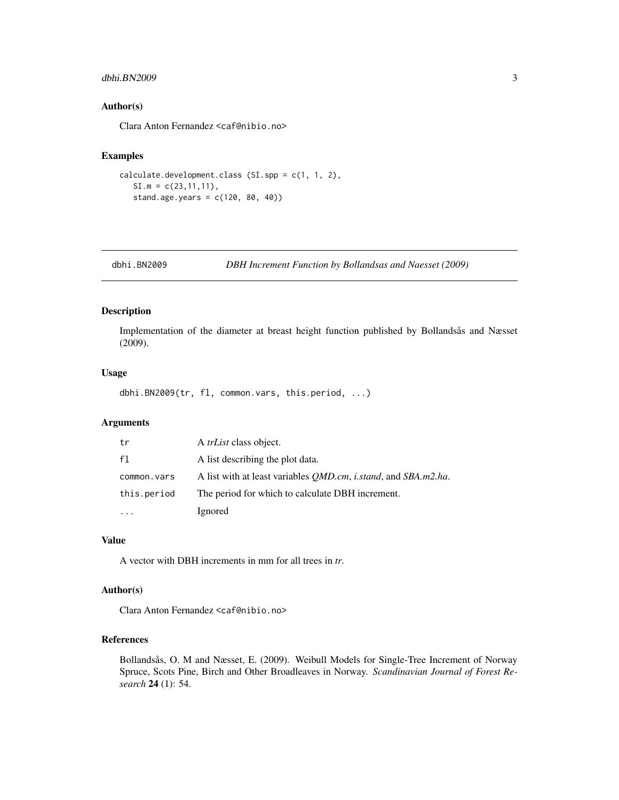#### <span id="page-2-0"></span>dbhi.BN2009 3

#### Author(s)

Clara Anton Fernandez <caf@nibio.no>

# Examples

```
calculate.development.class (SI.spp = c(1, 1, 2),
   SI.m = c(23, 11, 11),stand.age.years = c(120, 80, 40))
```
dbhi.BN2009 *DBH Increment Function by Bollandsas and Naesset (2009)*

# Description

Implementation of the diameter at breast height function published by Bollandsås and Næsset (2009).

# Usage

dbhi.BN2009(tr, fl, common.vars, this.period, ...)

# Arguments

| tr          | A <i>trList</i> class object.                                                |
|-------------|------------------------------------------------------------------------------|
| f1          | A list describing the plot data.                                             |
| common.vars | A list with at least variables <i>OMD.cm, i.stand,</i> and <i>SBA.m2.ha.</i> |
| this.period | The period for which to calculate DBH increment.                             |
|             | Ignored                                                                      |

#### Value

A vector with DBH increments in mm for all trees in *tr*.

# Author(s)

Clara Anton Fernandez <caf@nibio.no>

#### References

Bollandsås, O. M and Næsset, E. (2009). Weibull Models for Single-Tree Increment of Norway Spruce, Scots Pine, Birch and Other Broadleaves in Norway. *Scandinavian Journal of Forest Research* 24 (1): 54.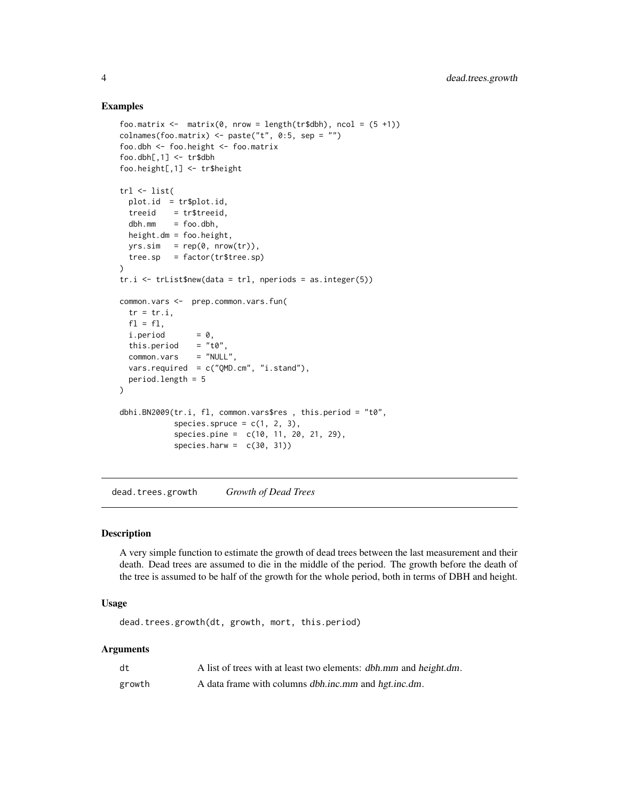#### Examples

```
foo.matrix \leq matrix(0, nrow = length(tr$dbh), ncol = (5 +1))
colnames(foo.matrix) <- paste("t", 0:5, sep = "")
foo.dbh <- foo.height <- foo.matrix
foo.dbh[,1] < - \text{tr$dbh$}foo.height[,1] <- tr$height
trl <- list(
  plot.id = tr$plot.id,
  treeid = tr$treeid,
  dbh.mm = foo.dbh,height.dm = foo.height,
  yrs.sim = rep(0, nrow(tr)),tree(sp = factor(tr$tree(sp)\lambdatr.i \leq trList$new(data = tr1, nepriods = as.integer(5))common.vars <- prep.common.vars.fun(
  tr = tr.i,
  f1 = f1,
  i.period = 0,<br>this.period = "t0",
  this.period = "t0",<br>common.vars = "NULL",common.vars
  vars.required = c("QMD.cm", "i.stand"),
  period.length = 5
)
dbhi.BN2009(tr.i, fl, common.vars$res , this.period = "t0",
            species.spruce = c(1, 2, 3),
            species.pine = c(10, 11, 20, 21, 29),
            species.harw = c(30, 31))
```
dead.trees.growth *Growth of Dead Trees*

# Description

A very simple function to estimate the growth of dead trees between the last measurement and their death. Dead trees are assumed to die in the middle of the period. The growth before the death of the tree is assumed to be half of the growth for the whole period, both in terms of DBH and height.

#### Usage

dead.trees.growth(dt, growth, mort, this.period)

| dt     | A list of trees with at least two elements: dbh.mm and height.dm. |
|--------|-------------------------------------------------------------------|
| growth | A data frame with columns dbh.inc.mm and hgt.inc.dm.              |

<span id="page-3-0"></span>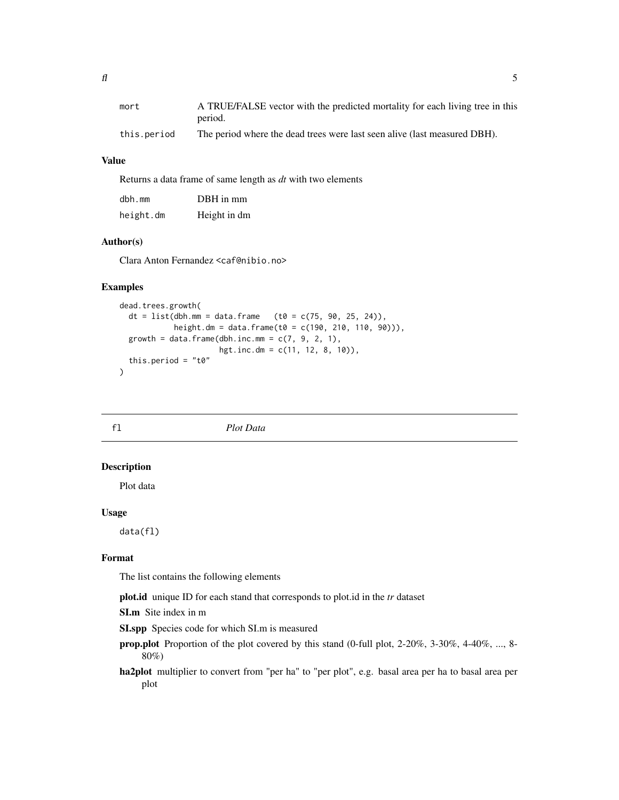<span id="page-4-0"></span>

| mort        | A TRUE/FALSE vector with the predicted mortality for each living tree in this |
|-------------|-------------------------------------------------------------------------------|
|             | period.                                                                       |
| this.period | The period where the dead trees were last seen alive (last measured DBH).     |

# Value

Returns a data frame of same length as *dt* with two elements

| $dbh$ . mm | DBH in mm    |
|------------|--------------|
| height.dm  | Height in dm |

# Author(s)

Clara Anton Fernandez <caf@nibio.no>

#### Examples

```
dead.trees.growth(
 dt = list(dbh.mm = data.frame (t0 = c(75, 90, 25, 24)),
            height.dm = data.frame(t0 = c(190, 210, 110, 90))),
 growth = data.frame(dbh.inc.mm = c(7, 9, 2, 1),
                      hgt.inc.dm = c(11, 12, 8, 10),
 this.period = "t0"\mathcal{L}
```
fl *Plot Data*

#### Description

Plot data

#### Usage

data(fl)

#### Format

The list contains the following elements

plot.id unique ID for each stand that corresponds to plot.id in the *tr* dataset

SI.m Site index in m

SI.spp Species code for which SI.m is measured

- prop.plot Proportion of the plot covered by this stand (0-full plot, 2-20%, 3-30%, 4-40%, ..., 8- 80%)
- ha2plot multiplier to convert from "per ha" to "per plot", e.g. basal area per ha to basal area per plot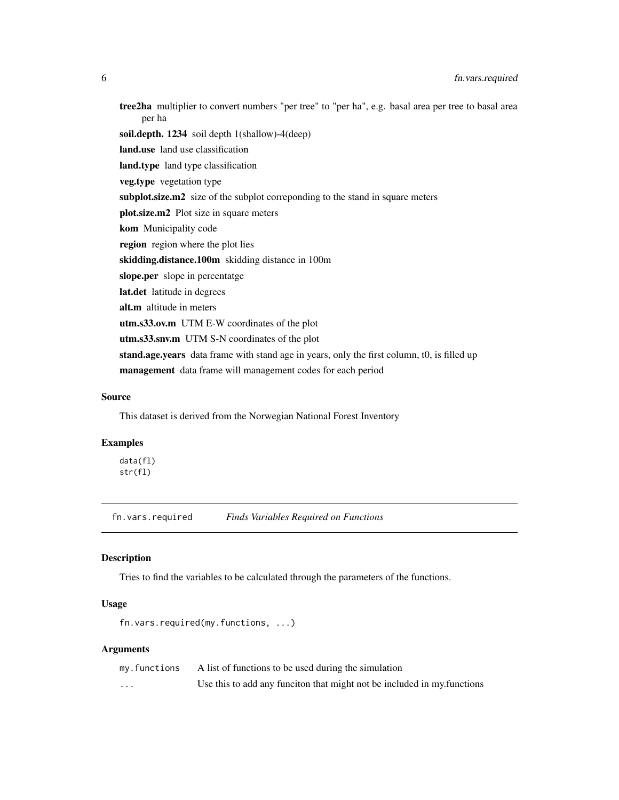<span id="page-5-0"></span>tree2ha multiplier to convert numbers "per tree" to "per ha", e.g. basal area per tree to basal area per ha soil.depth. 1234 soil depth 1(shallow)-4(deep) land.use land use classification land.type land type classification veg.type vegetation type subplot.size.m2 size of the subplot correponding to the stand in square meters plot.size.m2 Plot size in square meters kom Municipality code region region where the plot lies skidding.distance.100m skidding distance in 100m slope.per slope in percentatge lat.det latitude in degrees alt.m altitude in meters utm.s33.ov.m UTM E-W coordinates of the plot utm.s33.snv.m UTM S-N coordinates of the plot stand.age.years data frame with stand age in years, only the first column, t0, is filled up management data frame will management codes for each period

#### Source

This dataset is derived from the Norwegian National Forest Inventory

#### Examples

data(fl) str(fl)

fn.vars.required *Finds Variables Required on Functions*

#### Description

Tries to find the variables to be calculated through the parameters of the functions.

# Usage

```
fn.vars.required(my.functions, ...)
```

| my.functions | A list of functions to be used during the simulation                    |
|--------------|-------------------------------------------------------------------------|
| $\cdots$     | Use this to add any funciton that might not be included in my functions |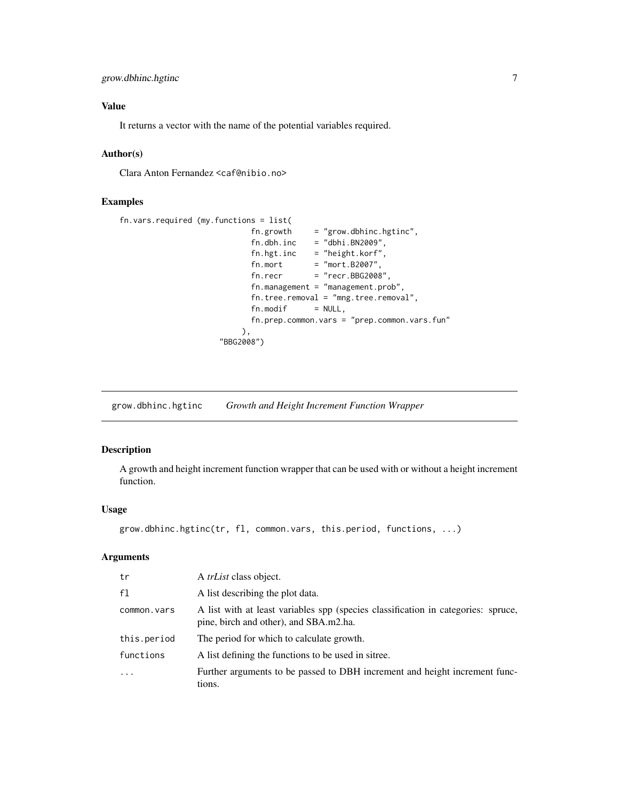# <span id="page-6-0"></span>Value

It returns a vector with the name of the potential variables required.

# Author(s)

Clara Anton Fernandez <caf@nibio.no>

# Examples

```
fn.vars.required (my.functions = list(
                          fn.growth = "grow.dbhinc.hgtinc",fn.dbh.inc = "dbhi.BN2009",fn.hgt.inc = "height.korf",
                           fn.mort = "mort.B2007",fn. recr = "recr.BBG2008",fn.management = "management.prob",
                          fn.tree.removal = "mng.tree.removal",
                          fn.modif = NULL,fn.prep.common.vars = "prep.common.vars.fun"
                        ),
                    "BBG2008")
```
grow.dbhinc.hgtinc *Growth and Height Increment Function Wrapper*

# Description

A growth and height increment function wrapper that can be used with or without a height increment function.

#### Usage

```
grow.dbhinc.hgtinc(tr, fl, common.vars, this.period, functions, ...)
```

| tr          | A <i>trList</i> class object.                                                                                               |
|-------------|-----------------------------------------------------------------------------------------------------------------------------|
| f1          | A list describing the plot data.                                                                                            |
| common.vars | A list with at least variables spp (species classification in categories: spruce,<br>pine, birch and other), and SBA.m2.ha. |
| this.period | The period for which to calculate growth.                                                                                   |
| functions   | A list defining the functions to be used in sitree.                                                                         |
| .           | Further arguments to be passed to DBH increment and height increment func-<br>tions.                                        |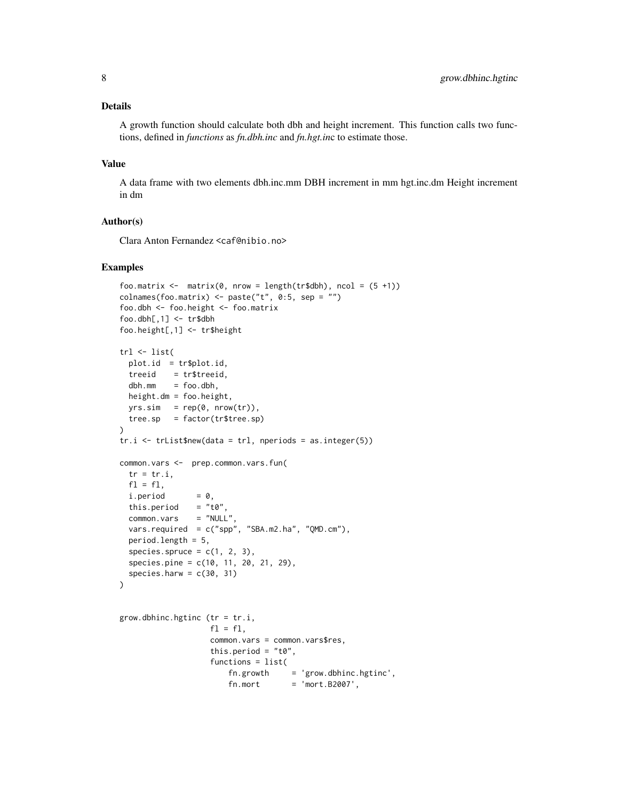# Details

A growth function should calculate both dbh and height increment. This function calls two functions, defined in *functions* as *fn.dbh.inc* and *fn.hgt.in*c to estimate those.

#### Value

A data frame with two elements dbh.inc.mm DBH increment in mm hgt.inc.dm Height increment in dm

# Author(s)

Clara Anton Fernandez <caf@nibio.no>

# Examples

```
foo.matrix <- matrix(0, nrow = length(tr$dbh), ncol = (5 + 1))colnames(foo.matrix) <- paste("t", 0:5, sep = "")
foo.dbh <- foo.height <- foo.matrix
foo.dbh[,1] <- tr$dbh
foo.height[,1] <- tr$height
trl <- list(
 plot.id = tr$plot.id,
 treeid = tr$treeid,
 dbh.mm = foo.dbh,
 height.dm = foo.height,
 yrs.sim = rep(0, nrow(tr)),tree(sp = factor(tr$tree(sp)\mathcal{L}tr.i <- trList$new(data = trl, nperiods = as.integer(5))
common.vars <- prep.common.vars.fun(
 tr = tr.i,f1 = f1,
 i.period = 0,this.period = "t0",
 common.vars = "NULL",
 vars.required = c("spp", "SBA.m2.ha", "QMD.cm"),
 period.length = 5,
 species.spruce = c(1, 2, 3),
 species.pine = c(10, 11, 20, 21, 29),
 species.harw = c(30, 31))
grow.dbhinc.hgtinc (tr = tr.i,
                   f1 = f1,
                    common.vars = common.vars$res,
                    this.period = "t0",functions = list(
                       fn.growth = 'grow.dbhinc.hgtinc',
```
 $f_n.mort$  = 'mort.B2007',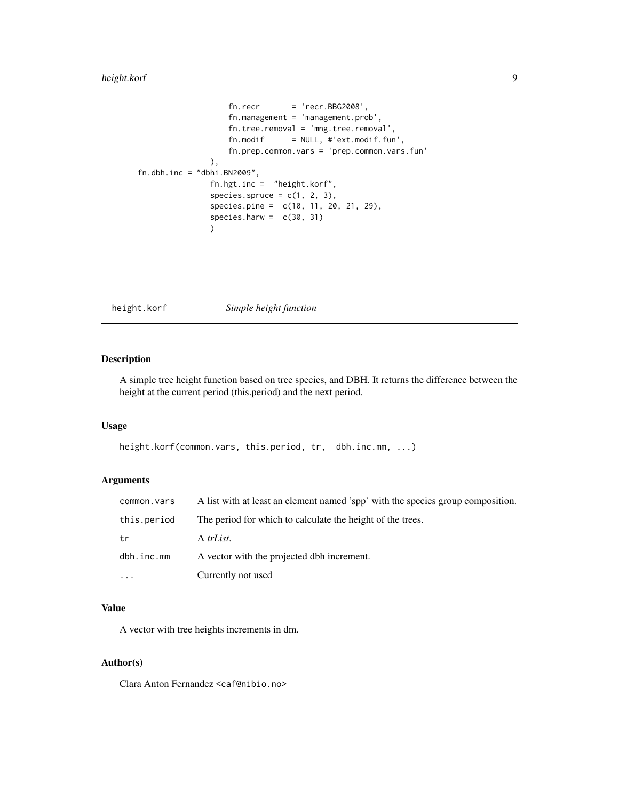# <span id="page-8-0"></span>height.korf 9

```
fn. recr = 'recr.BBG2008',fn.management = 'management.prob',
                   fn.tree.removal = 'mng.tree.removal',
                   fn.modif = NULL, #'ext.modif.fun',fn.prep.common.vars = 'prep.common.vars.fun'
               ),
fn.dbh.inc = "dbhi.BN2009",
               fn.hgt.inc = "height.korf",
               species.spruce = c(1, 2, 3),
               species.pine = c(10, 11, 20, 21, 29),
               species.harw = c(30, 31))
```
height.korf *Simple height function*

# Description

A simple tree height function based on tree species, and DBH. It returns the difference between the height at the current period (this.period) and the next period.

#### Usage

```
height.korf(common.vars, this.period, tr, dbh.inc.mm, ...)
```
# Arguments

| common.vars | A list with at least an element named 'spp' with the species group composition. |
|-------------|---------------------------------------------------------------------------------|
| this.period | The period for which to calculate the height of the trees.                      |
| tr          | A trList.                                                                       |
| dbh.inc.mm  | A vector with the projected dbh increment.                                      |
| $\cdots$    | Currently not used                                                              |

# Value

A vector with tree heights increments in dm.

# Author(s)

Clara Anton Fernandez <caf@nibio.no>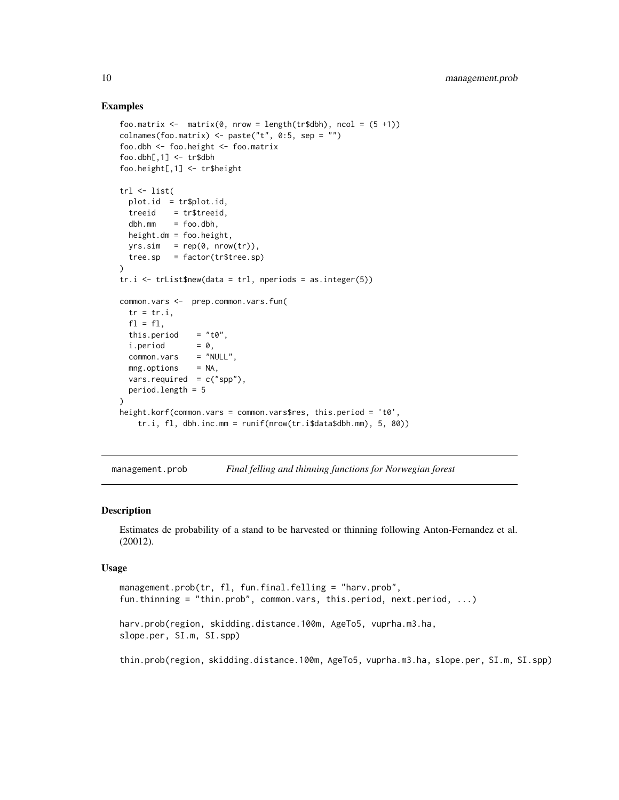#### Examples

```
foo.matrix \leq matrix(0, nrow = length(tr$dbh), ncol = (5 +1))
colnames(foo.matrix) <- paste("t", 0:5, sep = "")
foo.dbh <- foo.height <- foo.matrix
foo.dbh[,1] < - \text{tr$dbh$}foo.height[,1] <- tr$height
trl <- list(
 plot.id = tr$plot.id,
 treeid = tr$treeid,
 dbh.mm = foo.dbh,height.dm = foo.height,
 yrs.sim = rep(0, nrow(tr)),tree(sp = factor(tr$tree(sp)\lambdatr.i \leq trList$new(data = tr1, nepriods = as.integer(5))common.vars <- prep.common.vars.fun(
 tr = tr.i,f1 = f1,
 this.period = "t0",i.period = 0,common.vars = "NULL",
 mng.options = NA,
 vars.required = c("spp"),
 period.length = 5
)
height.korf(common.vars = common.vars$res, this.period = 't0',
   tr.i, fl, dbh.inc.mm = runif(nrow(tr.i$data$dbh.mm), 5, 80))
```
management.prob *Final felling and thinning functions for Norwegian forest*

#### Description

Estimates de probability of a stand to be harvested or thinning following Anton-Fernandez et al. (20012).

#### Usage

```
management.prob(tr, fl, fun.final.felling = "harv.prob",
fun.thinning = "thin.prob", common.vars, this.period, next.period, ...)
harv.prob(region, skidding.distance.100m, AgeTo5, vuprha.m3.ha,
slope.per, SI.m, SI.spp)
```
thin.prob(region, skidding.distance.100m, AgeTo5, vuprha.m3.ha, slope.per, SI.m, SI.spp)

<span id="page-9-0"></span>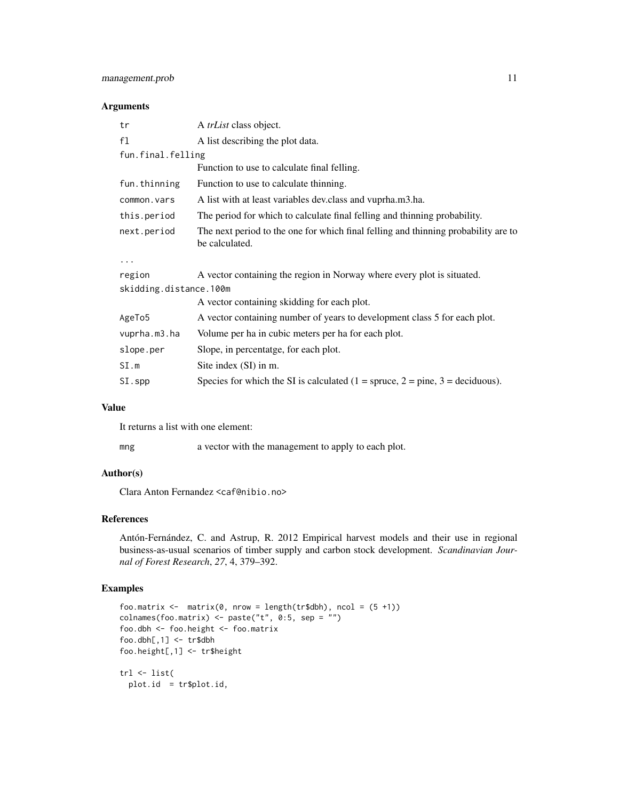# management.prob 11

### Arguments

| A <i>trList</i> class object.                                                                        |
|------------------------------------------------------------------------------------------------------|
| A list describing the plot data.                                                                     |
| fun.final.felling                                                                                    |
| Function to use to calculate final felling.                                                          |
| Function to use to calculate thinning.                                                               |
| A list with at least variables dev.class and vuprha.m3.ha.                                           |
| The period for which to calculate final felling and thinning probability.                            |
| The next period to the one for which final felling and thinning probability are to<br>be calculated. |
|                                                                                                      |
| A vector containing the region in Norway where every plot is situated.                               |
| skidding.distance.100m                                                                               |
| A vector containing skidding for each plot.                                                          |
| A vector containing number of years to development class 5 for each plot.                            |
| Volume per ha in cubic meters per ha for each plot.                                                  |
| Slope, in percentatge, for each plot.                                                                |
| Site index (SI) in m.                                                                                |
| Species for which the SI is calculated $(1 =$ spruce, $2 =$ pine, $3 =$ deciduous).                  |
|                                                                                                      |

#### Value

It returns a list with one element:

mng a vector with the management to apply to each plot.

# Author(s)

Clara Anton Fernandez <caf@nibio.no>

# References

Antón-Fernández, C. and Astrup, R. 2012 Empirical harvest models and their use in regional business-as-usual scenarios of timber supply and carbon stock development. *Scandinavian Journal of Forest Research*, *27*, 4, 379–392.

```
foo.matrix \leq matrix(0, nrow = length(tr$dbh), ncol = (5 +1))
colnames(foo.matrix) <- paste("t", \overline{0:5}, sep = "")
foo.dbh <- foo.height <- foo.matrix
foo.dbh[,1] < -\text{tr$dbh}foo.height[,1] <- tr$height
trl <- list(
  plot.id = tr$plot.id,
```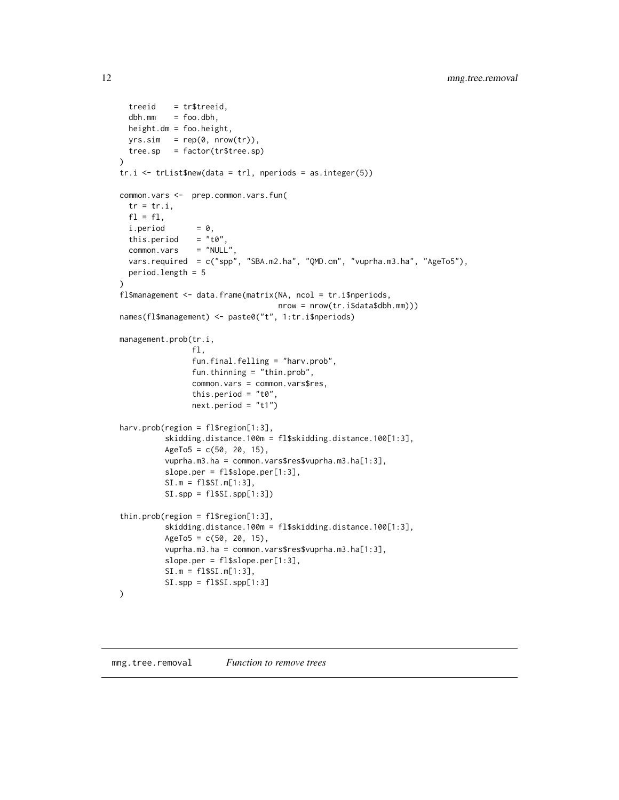```
treeid = tr$treeid,
 dbh.mm = foo.dbh,height.dm = foo.height,
 yrs.sim = rep(0, nrow(tr)),tree.sp = factor(tr$tree.sp)
)
tr.i \leftarrow trList$new(data = tr1,~nperiods = as.integer(5))common.vars <- prep.common.vars.fun(
 tr = tr.i,f1 = f1,
 i.period = 0,this.period = "t0",<br>common.vars = "NULL"common.vars
 vars.required = c("spp", "SBA.m2.ha", "QMD.cm", "vuprha.m3.ha", "AgeTo5"),
 period.length = 5
)
fl$management <- data.frame(matrix(NA, ncol = tr.i$nperiods,
                                   nrow = nrow(tr.i$data$dbh.mm)))
names(fl$management) <- paste0("t", 1:tr.i$nperiods)
management.prob(tr.i,
                fl,
                fun.final.felling = "harv.prob",
                fun.thinning = "thin.prob",
                common.vars = common.vars$res,
                this.period = "t0",next.period = "t1")
harv.prob(region = fl$region[1:3],
          skidding.distance.100m = fl$skidding.distance.100[1:3],
          AgeTo5 = c(50, 20, 15),
          vuprha.m3.ha = common.vars$res$vuprha.m3.ha[1:3],
          slope.per = fl$slope.per[1:3],
          SI.m = fl$SI.m[1:3],
          SI.spp = fl$SI.spp[1:3])
thin.prob(region = fl$region[1:3],
          skidding.distance.100m = fl$skidding.distance.100[1:3],
          AgeTo5 = c(50, 20, 15),
          vuprha.m3.ha = common.vars$res$vuprha.m3.ha[1:3],
          slope.per = fl$slope.per[1:3],
          SI.m = fl$SI.m[1:3],
          SI.\,spp = \,fl\SI.\,spp[1:3]
\mathcal{L}
```
<span id="page-11-0"></span>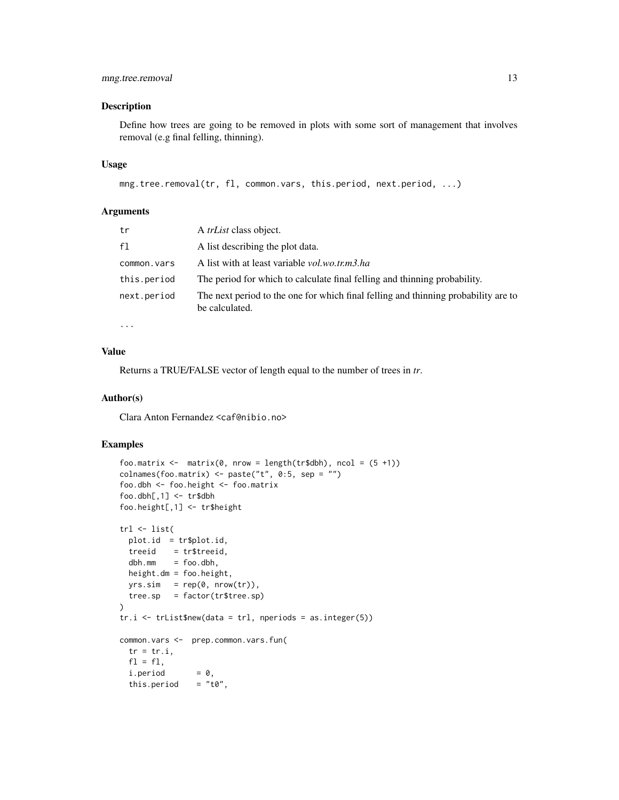# mng.tree.removal 13

#### Description

Define how trees are going to be removed in plots with some sort of management that involves removal (e.g final felling, thinning).

#### Usage

```
mng.tree.removal(tr, fl, common.vars, this.period, next.period, ...)
```
# Arguments

| tr          | A <i>trList</i> class object.                                                                        |
|-------------|------------------------------------------------------------------------------------------------------|
| f1          | A list describing the plot data.                                                                     |
| common.vars | A list with at least variable <i>vol.wo.tr.m3.ha</i>                                                 |
| this.period | The period for which to calculate final felling and thinning probability.                            |
| next.period | The next period to the one for which final felling and thinning probability are to<br>be calculated. |
| $\cdots$    |                                                                                                      |

#### Value

Returns a TRUE/FALSE vector of length equal to the number of trees in *tr*.

#### Author(s)

Clara Anton Fernandez <caf@nibio.no>

```
foo.matrix \leq matrix(0, nrow = length(tr$dbh), ncol = (5 +1))
colnames(foo.matrix) \leq paste("t", 0:5, sep = "")
foo.dbh <- foo.height <- foo.matrix
foo.dbh[,1] < - \text{tr$dbh}foo.height[,1] <- tr$height
trl <- list(
  plot.id = tr$plot.id,
  treeid = tr$treeid,
 dbh.mm = foo.dbh,height.dm = foo.height,
  yrs.sim = rep(0, nrow(tr)),tree.sp = factor(tr$tree.sp)
\mathcal{L}tr.i \leq trList$new(data = tr1,~nperiods = as.integer(5))common.vars <- prep.common.vars.fun(
  tr = tr.i,f1 = f1,
  i.period = 0,this.period = "t0",
```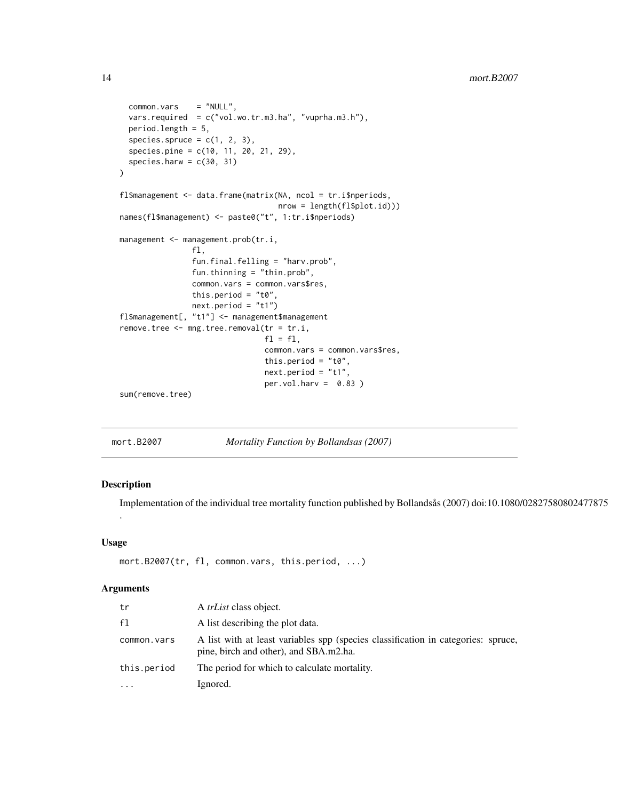```
common.vars = "NULL",
 vars.required = c("vol.wo.tr.m3.ha", "vuprha.m3.h"),
 period.length = 5,
 species.spruce = c(1, 2, 3),
 species.pine = c(10, 11, 20, 21, 29),
 species.harw = c(30, 31))
fl$management <- data.frame(matrix(NA, ncol = tr.i$nperiods,
                                  nrow = length(fl$plot.id)))
names(fl$management) <- paste0("t", 1:tr.i$nperiods)
management <- management.prob(tr.i,
               fl,
                fun.final.felling = "harv.prob",
                fun.thinning = "thin.prob",
               common.vars = common.vars$res,
               this.period = "t0",
               next.period = "t1")
fl$management[, "t1"] <- management$management
remove.tree <- mng.tree.removal(tr = tr.i,
                                f1 = f1,
                                common.vars = common.vars$res,
                                this.period = "t0",
                                next.period = "t1",
                                per.vol.harv = 0.83)
sum(remove.tree)
```

| mort.B2007 |  | Mortality Function by Bollandsas (2007) |  |
|------------|--|-----------------------------------------|--|
|            |  |                                         |  |

#### Description

.

Implementation of the individual tree mortality function published by Bollandsås (2007) doi:10.1080/02827580802477875

#### Usage

```
mort.B2007(tr, fl, common.vars, this.period, ...)
```

| tr          | A <i>trList</i> class object.                                                                                               |
|-------------|-----------------------------------------------------------------------------------------------------------------------------|
| f1          | A list describing the plot data.                                                                                            |
| common.vars | A list with at least variables spp (species classification in categories: spruce,<br>pine, birch and other), and SBA.m2.ha. |
| this.period | The period for which to calculate mortality.                                                                                |
| $\cdot$     | Ignored.                                                                                                                    |

<span id="page-13-0"></span>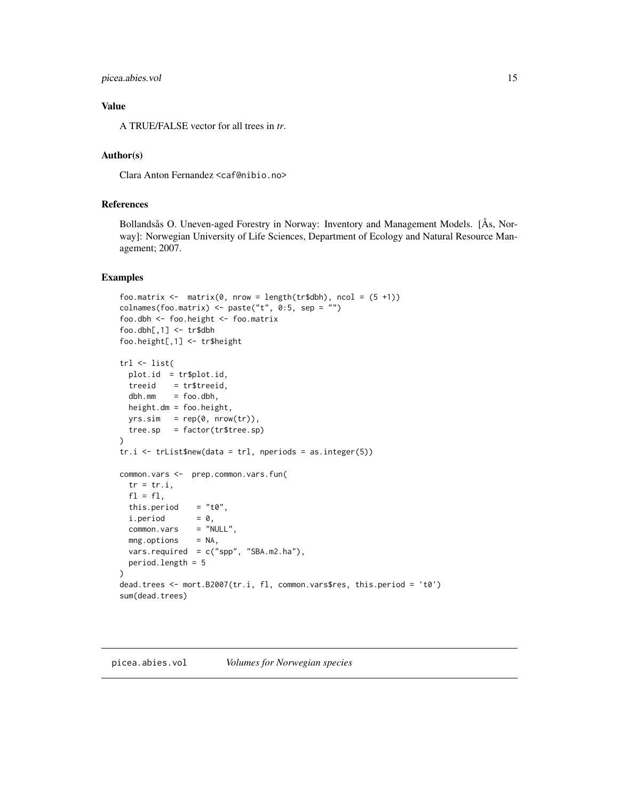#### <span id="page-14-0"></span>picea.abies.vol 15

# Value

A TRUE/FALSE vector for all trees in *tr*.

# Author(s)

Clara Anton Fernandez <caf@nibio.no>

# References

Bollandsås O. Uneven-aged Forestry in Norway: Inventory and Management Models. [Ås, Norway]: Norwegian University of Life Sciences, Department of Ecology and Natural Resource Management; 2007.

#### Examples

```
foo.matrix \leq matrix(0, nrow = length(tr$dbh), ncol = (5 +1))
colnames(foo.matrix) <- paste("t", 0:5, sep = "")
foo.dbh <- foo.height <- foo.matrix
foo.dbh[,1] < -\text{tr$dbh}foo.height[,1] <- tr$height
trl <- list(
 plot.id = tr$plot.id,
 treeid = tr$treeid,<br>dbh.mm = foo.dbh,
          = foo.dbh,
 height.dm = foo.height,
 yrs.sim = rep(0, nrow(tr)),tree(sp = factor(tr$tree(sp)\lambdatr.i \leq trList$new(data = tr1,~nperiods = as.integer(5))common.vars <- prep.common.vars.fun(
 tr = tr.i,f1 = f1,
 this.period = "t0",
 i.period = 0,common.vars = "NULL",
 mng.options = NA,
 vars.required = c("spp", "SBA.m2.ha"),
 period.length = 5
\mathcal{L}dead.trees <- mort.B2007(tr.i, fl, common.vars$res, this.period = 't0')
sum(dead.trees)
```
#### picea.abies.vol *Volumes for Norwegian species*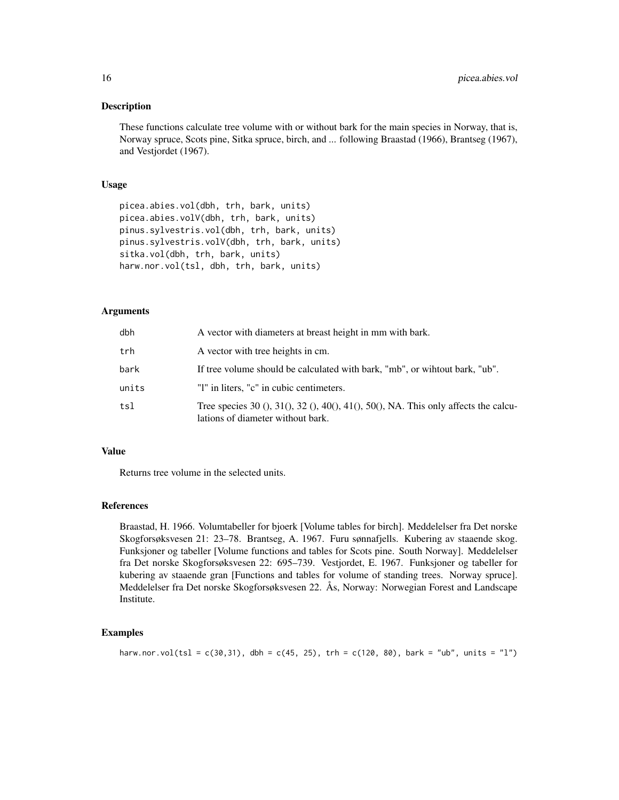#### **Description**

These functions calculate tree volume with or without bark for the main species in Norway, that is, Norway spruce, Scots pine, Sitka spruce, birch, and ... following Braastad (1966), Brantseg (1967), and Vestjordet (1967).

#### Usage

```
picea.abies.vol(dbh, trh, bark, units)
picea.abies.volV(dbh, trh, bark, units)
pinus.sylvestris.vol(dbh, trh, bark, units)
pinus.sylvestris.volV(dbh, trh, bark, units)
sitka.vol(dbh, trh, bark, units)
harw.nor.vol(tsl, dbh, trh, bark, units)
```
# Arguments

| dbh   | A vector with diameters at breast height in mm with bark.                                                                |
|-------|--------------------------------------------------------------------------------------------------------------------------|
| trh   | A vector with tree heights in cm.                                                                                        |
| bark  | If tree volume should be calculated with bark, "mb", or wihtout bark, "ub".                                              |
| units | "I" in liters, "c" in cubic centimeters.                                                                                 |
| tsl   | Tree species 30 (), 31(), 32 (), 40(), 41(), 50(), NA. This only affects the calcu-<br>lations of diameter without bark. |

# Value

Returns tree volume in the selected units.

#### References

Braastad, H. 1966. Volumtabeller for bjoerk [Volume tables for birch]. Meddelelser fra Det norske Skogforsøksvesen 21: 23–78. Brantseg, A. 1967. Furu sønnafjells. Kubering av staaende skog. Funksjoner og tabeller [Volume functions and tables for Scots pine. South Norway]. Meddelelser fra Det norske Skogforsøksvesen 22: 695–739. Vestjordet, E. 1967. Funksjoner og tabeller for kubering av staaende gran [Functions and tables for volume of standing trees. Norway spruce]. Meddelelser fra Det norske Skogforsøksvesen 22. Ås, Norway: Norwegian Forest and Landscape Institute.

```
harw.nor.vol(tsl = c(30,31), dbh = c(45, 25), trh = c(120, 80), bark = "ub", units = "l")
```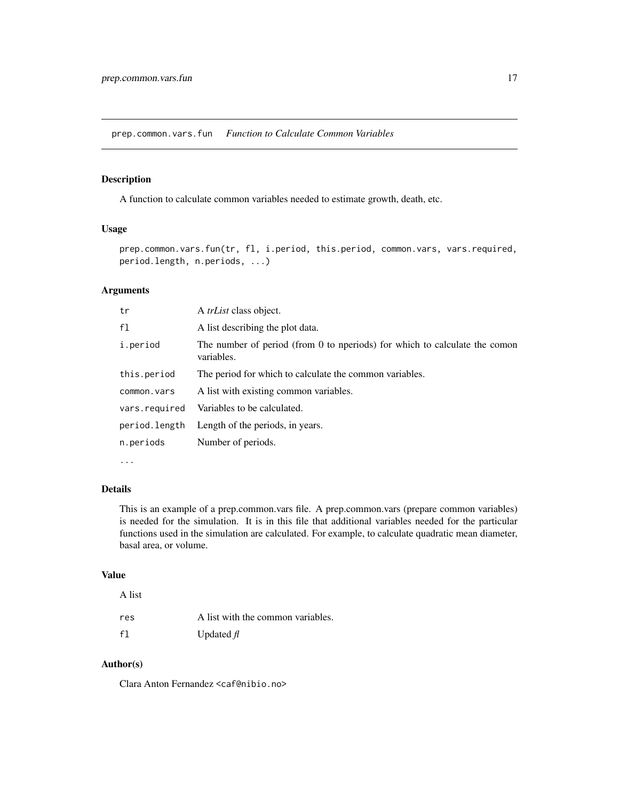<span id="page-16-0"></span>prep.common.vars.fun *Function to Calculate Common Variables*

#### Description

A function to calculate common variables needed to estimate growth, death, etc.

#### Usage

prep.common.vars.fun(tr, fl, i.period, this.period, common.vars, vars.required, period.length, n.periods, ...)

# Arguments

| tr            | A <i>trList</i> class object.                                                            |
|---------------|------------------------------------------------------------------------------------------|
| f1            | A list describing the plot data.                                                         |
| i.period      | The number of period (from 0 to nperiods) for which to calculate the comon<br>variables. |
| this.period   | The period for which to calculate the common variables.                                  |
| common.vars   | A list with existing common variables.                                                   |
| vars.required | Variables to be calculated.                                                              |
| period.length | Length of the periods, in years.                                                         |
| n.periods     | Number of periods.                                                                       |
|               |                                                                                          |

...

# Details

This is an example of a prep.common.vars file. A prep.common.vars (prepare common variables) is needed for the simulation. It is in this file that additional variables needed for the particular functions used in the simulation are calculated. For example, to calculate quadratic mean diameter, basal area, or volume.

#### Value

# A list

| res | A list with the common variables. |
|-----|-----------------------------------|
| f1  | Updated $\hat{H}$                 |

#### Author(s)

Clara Anton Fernandez <caf@nibio.no>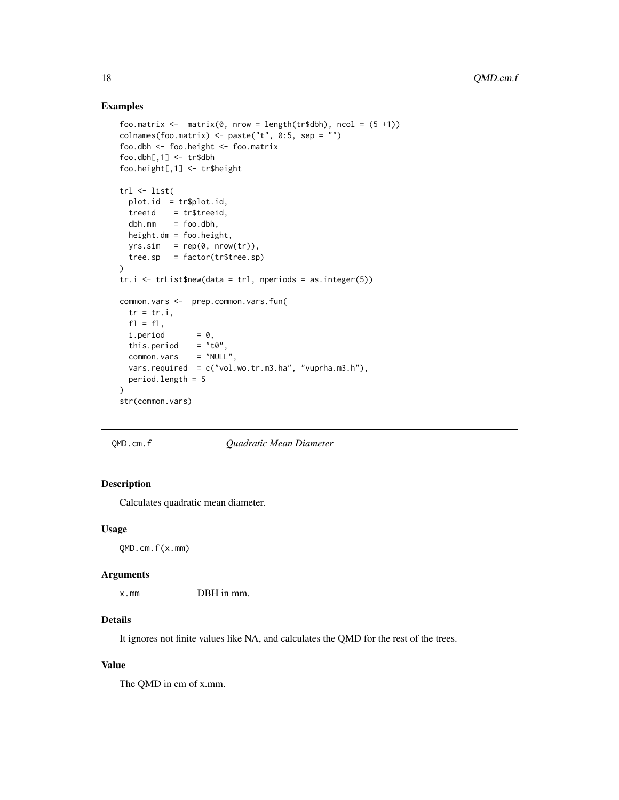# Examples

```
foo.matrix \leq matrix(0, nrow = length(tr$dbh), ncol = (5 +1))
colnames(foo.matrix) \leq paste("t", 0:5, sep = "")
foo.dbh <- foo.height <- foo.matrix
foo.dbh[,1] < - \text{tr$dbh$}foo.height[,1] <- tr$height
trl <- list(
  plot.id = tr$plot.id,
  treeid = tr$treeid,
  dbh.mm = foo.dbh,height.dm = foo.height,
  yrs.sim = rep(0, nrow(tr)),tree(sp = factor(tr$tree(sp)\lambdatr.i \leq trList$new(data = tr1, neperiods = as.integer(5))common.vars <- prep.common.vars.fun(
  tr = tr.i,f1 = f1,
  i.period = 0,<br>this.period = "t0",
  this.period = "t0",<br>common.vars = "NULL",common.vars
  vars.required = c("vol.wo.tr.m3.ha", "vuprha.m3.h"),
  period.length = 5
)
str(common.vars)
```
#### QMD.cm.f *Quadratic Mean Diameter*

# Description

Calculates quadratic mean diameter.

#### Usage

QMD.cm.f(x.mm)

#### Arguments

x.mm DBH in mm.

# Details

It ignores not finite values like NA, and calculates the QMD for the rest of the trees.

# Value

The QMD in cm of x.mm.

<span id="page-17-0"></span>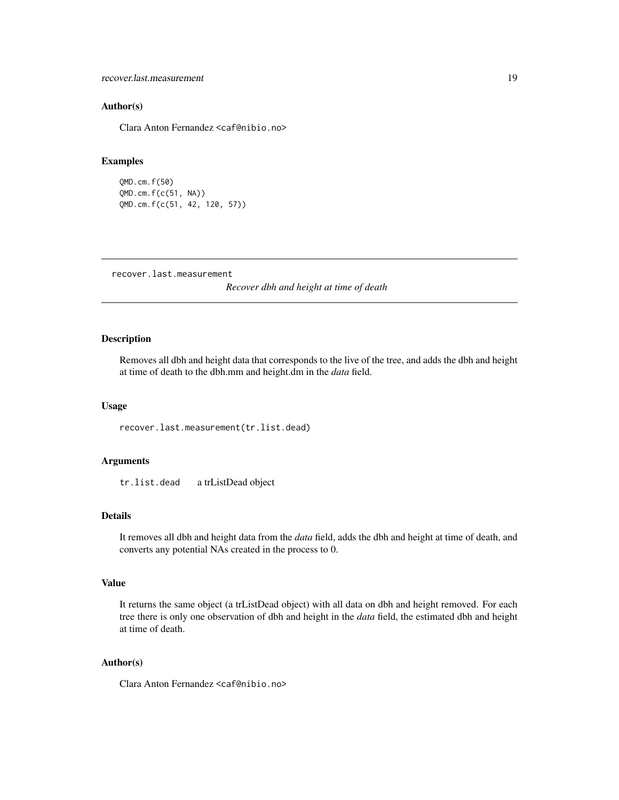<span id="page-18-0"></span>recover.last.measurement 19

#### Author(s)

Clara Anton Fernandez <caf@nibio.no>

# Examples

```
QMD.cm.f(50)
QMD.cm.f(c(51, NA))
QMD.cm.f(c(51, 42, 120, 57))
```
recover.last.measurement

*Recover dbh and height at time of death*

# Description

Removes all dbh and height data that corresponds to the live of the tree, and adds the dbh and height at time of death to the dbh.mm and height.dm in the *data* field.

### Usage

recover.last.measurement(tr.list.dead)

#### Arguments

tr.list.dead a trListDead object

# Details

It removes all dbh and height data from the *data* field, adds the dbh and height at time of death, and converts any potential NAs created in the process to 0.

# Value

It returns the same object (a trListDead object) with all data on dbh and height removed. For each tree there is only one observation of dbh and height in the *data* field, the estimated dbh and height at time of death.

# Author(s)

Clara Anton Fernandez <caf@nibio.no>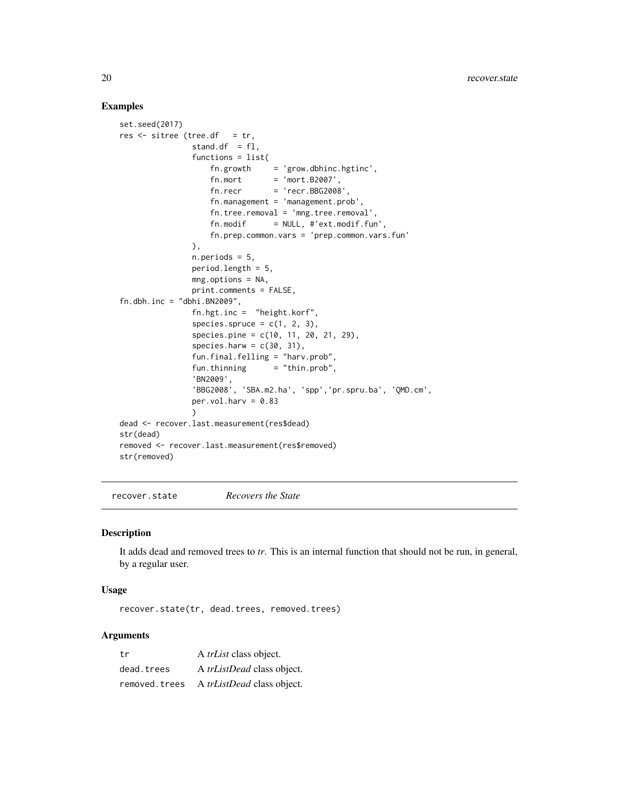# Examples

```
set.seed(2017)
res \le sitree (tree.df = tr,
               stand.df = f1,
               functions = list(
                   fn.growth = 'grow.dbhinc.hgtinc',fn.mort = 'mort.B2007',fn. recr = 'recr.BBG2008',fn.management = 'management.prob',
                   fn.tree.removal = 'mng.tree.removal',
                   fn.modif = NULL, #'ext.modif.fun',fn.prep.common.vars = 'prep.common.vars.fun'
               ),
               n.periods = 5,
               period.length = 5,
               mng.options = NA,
               print.comments = FALSE,
fn.dbh.inc = "dbhi.BN2009",fn.hgt.inc = "height.korf",
               species.spruce = c(1, 2, 3),
               species.pine = c(10, 11, 20, 21, 29),
               species.harw = c(30, 31),
               fun.final.felling = "harv.prob",
               fun.thinning = "thin.prob",
               'BN2009',
               'BBG2008', 'SBA.m2.ha', 'spp','pr.spru.ba', 'QMD.cm',
               per.vol.harv = 0.83\lambdadead <- recover.last.measurement(res$dead)
str(dead)
removed <- recover.last.measurement(res$removed)
str(removed)
```
recover.state *Recovers the State*

# Description

It adds dead and removed trees to *tr*. This is an internal function that should not be run, in general, by a regular user.

#### Usage

recover.state(tr, dead.trees, removed.trees)

| tr            | A <i>trList</i> class object.     |
|---------------|-----------------------------------|
| dead.trees    | A <i>trListDead</i> class object. |
| removed.trees | A <i>trListDead</i> class object. |

<span id="page-19-0"></span>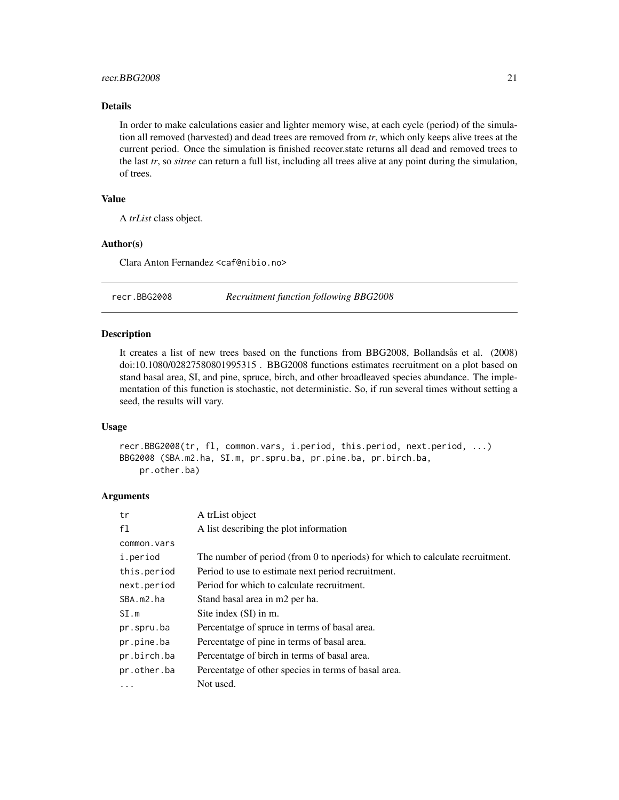#### <span id="page-20-0"></span>recr.BBG2008 21

# Details

In order to make calculations easier and lighter memory wise, at each cycle (period) of the simulation all removed (harvested) and dead trees are removed from *tr*, which only keeps alive trees at the current period. Once the simulation is finished recover.state returns all dead and removed trees to the last *tr*, so *sitree* can return a full list, including all trees alive at any point during the simulation, of trees.

# Value

A *trList* class object.

# Author(s)

Clara Anton Fernandez <caf@nibio.no>

recr.BBG2008 *Recruitment function following BBG2008*

# Description

It creates a list of new trees based on the functions from BBG2008, Bollandsås et al. (2008) doi:10.1080/02827580801995315 . BBG2008 functions estimates recruitment on a plot based on stand basal area, SI, and pine, spruce, birch, and other broadleaved species abundance. The implementation of this function is stochastic, not deterministic. So, if run several times without setting a seed, the results will vary.

# Usage

recr.BBG2008(tr, fl, common.vars, i.period, this.period, next.period, ...) BBG2008 (SBA.m2.ha, SI.m, pr.spru.ba, pr.pine.ba, pr.birch.ba, pr.other.ba)

| tr          | A trList object                                                               |
|-------------|-------------------------------------------------------------------------------|
| f1          | A list describing the plot information                                        |
| common.vars |                                                                               |
| i.period    | The number of period (from 0 to nperiods) for which to calculate recruitment. |
| this.period | Period to use to estimate next period recruitment.                            |
| next.period | Period for which to calculate recruitment.                                    |
| SBA.m2.ha   | Stand basal area in m2 per ha.                                                |
| SI.m        | Site index (SI) in m.                                                         |
| pr.spru.ba  | Percentatge of spruce in terms of basal area.                                 |
| pr.pine.ba  | Percentatge of pine in terms of basal area.                                   |
| pr.birch.ba | Percentatge of birch in terms of basal area.                                  |
| pr.other.ba | Percentatge of other species in terms of basal area.                          |
| $\cdots$    | Not used.                                                                     |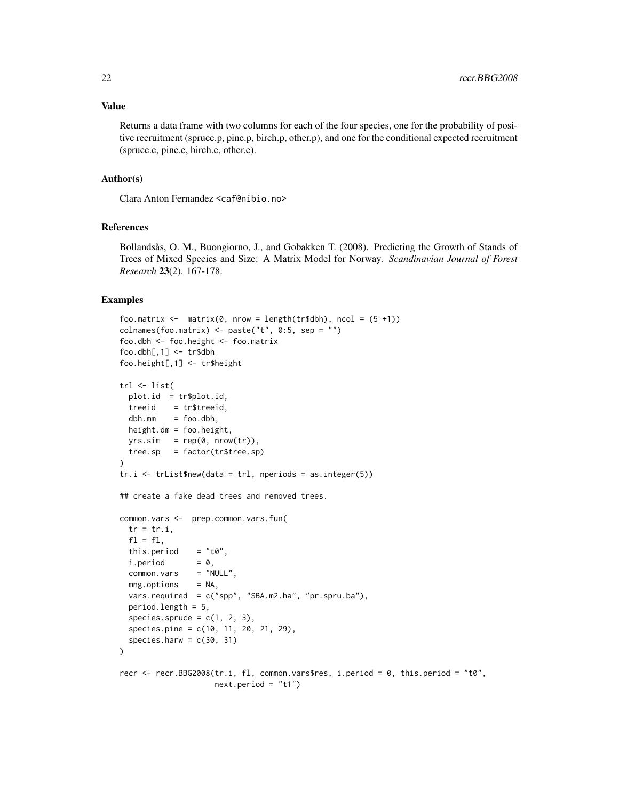#### Value

Returns a data frame with two columns for each of the four species, one for the probability of positive recruitment (spruce.p, pine.p, birch.p, other.p), and one for the conditional expected recruitment (spruce.e, pine.e, birch.e, other.e).

#### Author(s)

Clara Anton Fernandez <caf@nibio.no>

# References

Bollandsås, O. M., Buongiorno, J., and Gobakken T. (2008). Predicting the Growth of Stands of Trees of Mixed Species and Size: A Matrix Model for Norway. *Scandinavian Journal of Forest Research* 23(2). 167-178.

```
foo.matrix \leq matrix(0, nrow = length(tr$dbh), ncol = (5 +1))
colnames(foo.matrix) <- paste("t", 0:5, sep = "")
foo.dbh <- foo.height <- foo.matrix
foo. dbh[, 1] < - tr$dbhfoo.height[,1] <- tr$height
trl <- list(
 plot.id = tr$plot.id,
 treeid = tr$treeid,
 dbh.mm = foo.dbh,height.dm = foo.height,
 yrs.sim = rep(0, nrow(tr)),tree.sp = factor(tr$tree.sp)
\lambdatr.i \leq trList$new(data = tr1, neperiods = as.integer(5))## create a fake dead trees and removed trees.
common.vars <- prep.common.vars.fun(
 tr = tr.i,f1 = f1,
 this.period = "t0",i.period = 0,common.vars = "NULL",
 mng.options = NA,
 vars.required = c("spp", "SBA.m2.ha", "pr.spru.ba"),
 period.length = 5,
 species.spruce = c(1, 2, 3),
 species.pine = c(10, 11, 20, 21, 29),
 species.harw = c(30, 31))
recr <- recr.BBG2008(tr.i, fl, common.vars$res, i.period = 0, this.period = "t0",
                    next.period = "t1")
```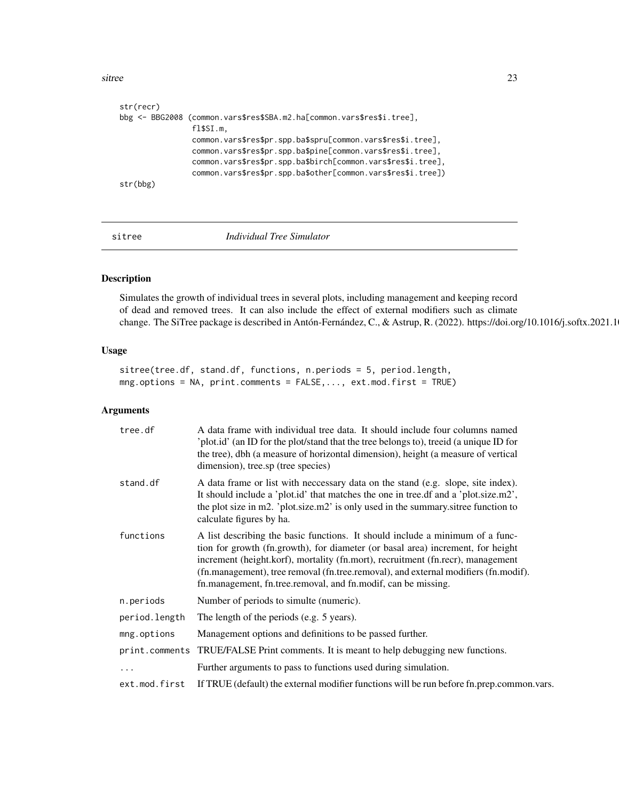<span id="page-22-0"></span>sitree 23

```
str(recr)
bbg <- BBG2008 (common.vars$res$SBA.m2.ha[common.vars$res$i.tree],
                fl$SI.m,
                common.vars$res$pr.spp.ba$spru[common.vars$res$i.tree],
                common.vars$res$pr.spp.ba$pine[common.vars$res$i.tree],
                common.vars$res$pr.spp.ba$birch[common.vars$res$i.tree],
                common.vars$res$pr.spp.ba$other[common.vars$res$i.tree])
str(bbg)
```
<span id="page-22-1"></span>sitree *Individual Tree Simulator*

# Description

Simulates the growth of individual trees in several plots, including management and keeping record of dead and removed trees. It can also include the effect of external modifiers such as climate change. The SiTree package is described in Antón-Fernández, C., & Astrup, R. (2022). https://doi.org/10.1016/j.softx.2021.1

# Usage

sitree(tree.df, stand.df, functions, n.periods = 5, period.length, mng.options = NA, print.comments = FALSE,..., ext.mod.first = TRUE)

| tree.df       | A data frame with individual tree data. It should include four columns named<br>'plot.id' (an ID for the plot/stand that the tree belongs to), treeid (a unique ID for<br>the tree), dbh (a measure of horizontal dimension), height (a measure of vertical<br>dimension), tree.sp (tree species)                                                                                                           |
|---------------|-------------------------------------------------------------------------------------------------------------------------------------------------------------------------------------------------------------------------------------------------------------------------------------------------------------------------------------------------------------------------------------------------------------|
| stand.df      | A data frame or list with neccessary data on the stand (e.g. slope, site index).<br>It should include a 'plot.id' that matches the one in tree.df and a 'plot.size.m2',<br>the plot size in m2. 'plot size m2' is only used in the summary sitree function to<br>calculate figures by ha.                                                                                                                   |
| functions     | A list describing the basic functions. It should include a minimum of a func-<br>tion for growth (fn.growth), for diameter (or basal area) increment, for height<br>increment (height.korf), mortality (fn.mort), recruitment (fn.recr), management<br>(fn.management), tree removal (fn.tree.removal), and external modifiers (fn.modif).<br>fn.management, fn.tree.removal, and fn.modif, can be missing. |
| n.periods     | Number of periods to simulte (numeric).                                                                                                                                                                                                                                                                                                                                                                     |
| period.length | The length of the periods (e.g. 5 years).                                                                                                                                                                                                                                                                                                                                                                   |
| mng.options   | Management options and definitions to be passed further.                                                                                                                                                                                                                                                                                                                                                    |
|               | print.comments TRUE/FALSE Print comments. It is meant to help debugging new functions.                                                                                                                                                                                                                                                                                                                      |
| .             | Further arguments to pass to functions used during simulation.                                                                                                                                                                                                                                                                                                                                              |
| ext.mod.first | If TRUE (default) the external modifier functions will be run before fn.prep.common.vars.                                                                                                                                                                                                                                                                                                                   |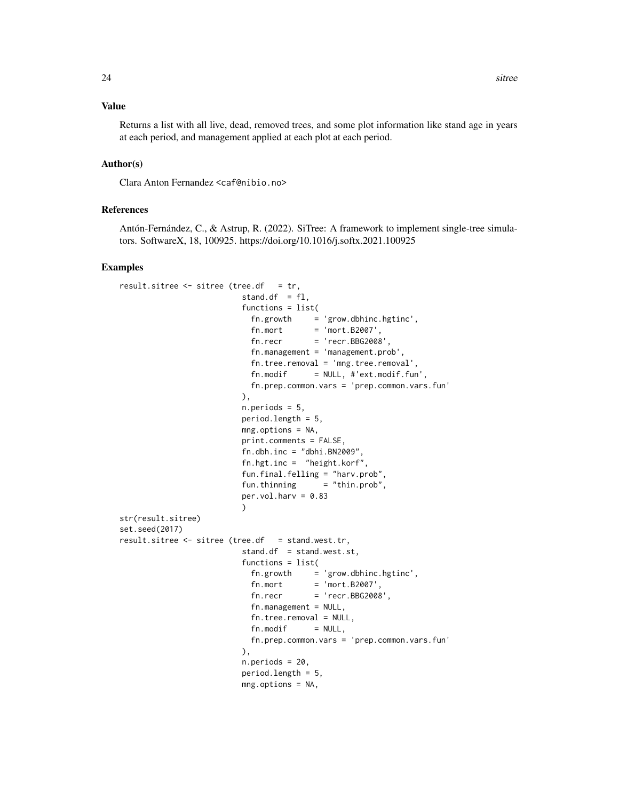#### Value

Returns a list with all live, dead, removed trees, and some plot information like stand age in years at each period, and management applied at each plot at each period.

#### Author(s)

Clara Anton Fernandez <caf@nibio.no>

#### References

Antón-Fernández, C., & Astrup, R. (2022). SiTree: A framework to implement single-tree simulators. SoftwareX, 18, 100925. https://doi.org/10.1016/j.softx.2021.100925

```
result.sitree \leq sitree (tree.df = tr,
                         stand.df = f1,
                         functions = list(
                           fn.growth = 'grow.dbhinc.hgtinc',
                            fn.mort = 'mort.B2007',fn. recr = 'recr.BBG2008',fn.management = 'management.prob',
                           fn.tree.removal = 'mng.tree.removal',
                           fn.modif = NULL, #'ext.modif.fun',fn.prep.common.vars = 'prep.common.vars.fun'
                         ),
                         n.periods = 5,
                         period.length = 5,
                         mng.options = NA,
                         print.comments = FALSE,
                         fn.dbh.inc = "dbhi.BN2009",fn.hgt.inc = "height.korf",
                         fun.final.felling = "harv.prob",
                         fun.thinning = "thin.prob",
                         per.vol.harv = 0.83\lambdastr(result.sitree)
set.seed(2017)
result.sitree <- sitree (tree.df = stand.west.tr,
                         stand.df = stand.west.st,
                         functions = list(
                           fn.growth = 'grow.dbhinc.hgtinc',fn.mort = 'mort.B2007'fn. recr = 'recr.BBG2008',fn.maxement = NULL,fn.tree.removal = NULL,
                           fn.modif = NULL,fn.prep.common.vars = 'prep.common.vars.fun'
                         ),
                         n.periods = 20,
                         period.length = 5,
                         mng.options = NA,
```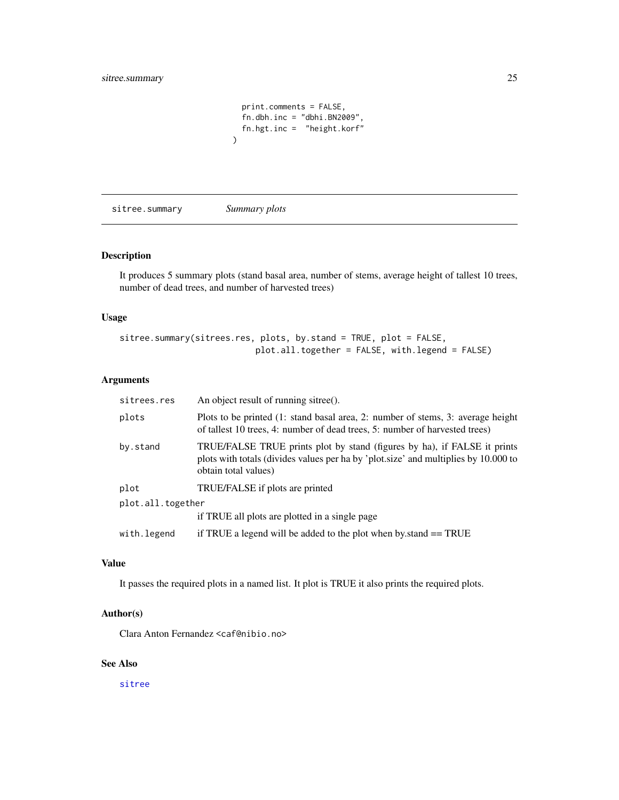```
print.comments = FALSE,
 fn.dbh.inc = "dbhi.BN2009",
 fn.hgt.inc = "height.korf"
)
```
sitree.summary *Summary plots*

#### Description

It produces 5 summary plots (stand basal area, number of stems, average height of tallest 10 trees, number of dead trees, and number of harvested trees)

# Usage

sitree.summary(sitrees.res, plots, by.stand = TRUE, plot = FALSE, plot.all.together = FALSE, with.legend = FALSE)

#### Arguments

| sitrees.res       | An object result of running sitree().                                                                                                                                                   |
|-------------------|-----------------------------------------------------------------------------------------------------------------------------------------------------------------------------------------|
| plots             | Plots to be printed (1: stand basal area, 2: number of stems, 3: average height<br>of tallest 10 trees, 4: number of dead trees, 5: number of harvested trees)                          |
| by.stand          | TRUE/FALSE TRUE prints plot by stand (figures by ha), if FALSE it prints<br>plots with totals (divides values per ha by 'plot.size' and multiplies by 10.000 to<br>obtain total values) |
| plot              | TRUE/FALSE if plots are printed                                                                                                                                                         |
| plot.all.together |                                                                                                                                                                                         |
|                   | if TRUE all plots are plotted in a single page                                                                                                                                          |
| with.legend       | if TRUE a legend will be added to the plot when by stand $==$ TRUE                                                                                                                      |

#### Value

It passes the required plots in a named list. It plot is TRUE it also prints the required plots.

# Author(s)

Clara Anton Fernandez <caf@nibio.no>

# See Also

[sitree](#page-22-1)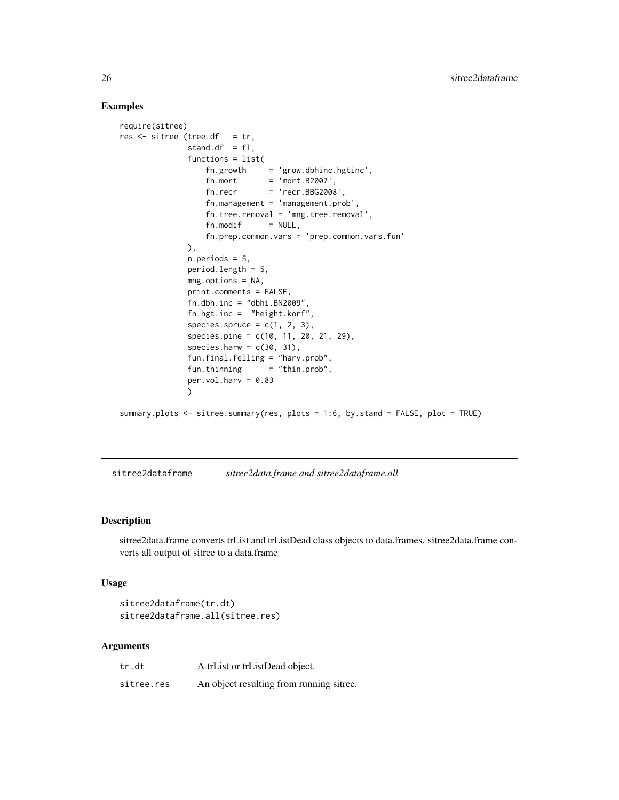#### Examples

```
require(sitree)
res \le sitree (tree.df = tr,
              stand.df = f1,
              functions = list(
                   fn.growth = 'grow.dbhinc.hgtinc',
                   fn.mort = 'mort.B2007',fn. recr = 'recr.BBG2008',fn.management = 'management.prob',
                  fn.tree.removal = 'mng.tree.removal',
                  fn.modif = NULL,fn.prep.common.vars = 'prep.common.vars.fun'
              ),
              n.periods = 5,
              period.length = 5,
              mng.options = NA,
              print.comments = FALSE,
              fn.dbh.inc = "dbhi.BN2009",
              fn.hgt.inc = "height.korf",
               species.spruce = c(1, 2, 3),
               species.pine = c(10, 11, 20, 21, 29),
               species.harw = c(30, 31),
               fun.final.felling = "harv.prob",
               fun. thinning = "thin. prob",
               per.vol.harv = 0.83\lambdasummary.plots <- sitree.summary(res, plots = 1:6, by.stand = FALSE, plot = TRUE)
```
sitree2dataframe *sitree2data.frame and sitree2dataframe.all*

#### Description

sitree2data.frame converts trList and trListDead class objects to data.frames. sitree2data.frame converts all output of sitree to a data.frame

# Usage

```
sitree2dataframe(tr.dt)
sitree2dataframe.all(sitree.res)
```

| tr.dt      | A trList or trListDead object.           |
|------------|------------------------------------------|
| sitree.res | An object resulting from running sitree. |

<span id="page-25-0"></span>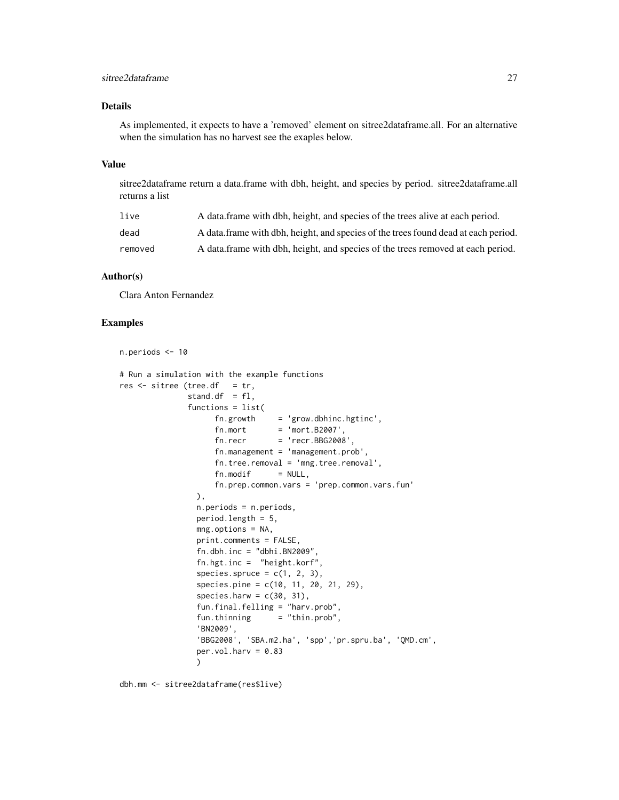### sitree2dataframe 27

### Details

As implemented, it expects to have a 'removed' element on sitree2dataframe.all. For an alternative when the simulation has no harvest see the exaples below.

#### Value

sitree2dataframe return a data.frame with dbh, height, and species by period. sitree2dataframe.all returns a list

| live    | A data frame with dbh, height, and species of the trees alive at each period.      |
|---------|------------------------------------------------------------------------------------|
| dead    | A data frame with dbh, height, and species of the trees found dead at each period. |
| removed | A data frame with dbh, height, and species of the trees removed at each period.    |

#### Author(s)

Clara Anton Fernandez

#### Examples

```
n.periods <- 10
# Run a simulation with the example functions
res \leq - sitree (tree.df = tr,
              stand.df = f1,
              functions = list(
                    fn.growth = 'grow.dbhinc.hgtinc',fn.mort = 'mort.B2007',fn. recr = 'recr.BBG2008',fn.management = 'management.prob',
                    fn.tree.removal = 'mng.tree.removal',
                    fn.modif = NULL,fn.prep.common.vars = 'prep.common.vars.fun'
                ),
                n.periods = n.periods,
                period.length = 5,
                mng.options = NA,
                print.comments = FALSE,
                fn.dbh.inc = "dbhi.BN2009",fn.hgt.inc = "height.korf",
                species.spruce = c(1, 2, 3),
                species.pine = c(10, 11, 20, 21, 29),
                species.harw = c(30, 31),
                fun.final.felling = "harv.prob",
                fun.thinning = "thin.prob",
                'BN2009',
                'BBG2008', 'SBA.m2.ha', 'spp','pr.spru.ba', 'QMD.cm',
                per.vol.harv = 0.83)
```
dbh.mm <- sitree2dataframe(res\$live)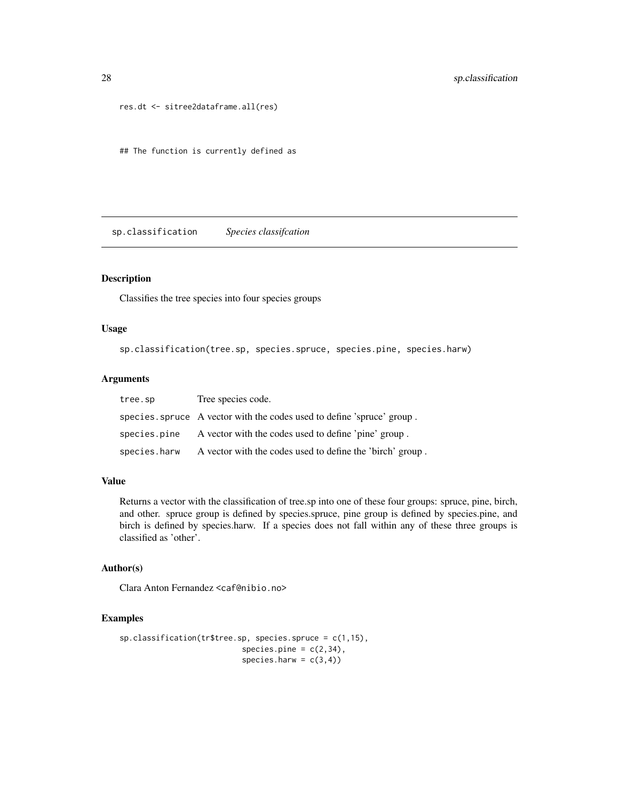```
res.dt <- sitree2dataframe.all(res)
```
## The function is currently defined as

sp.classification *Species classifcation*

# Description

Classifies the tree species into four species groups

#### Usage

sp.classification(tree.sp, species.spruce, species.pine, species.harw)

# Arguments

| tree.sp      | Tree species code.                                                     |
|--------------|------------------------------------------------------------------------|
|              | species. spruce A vector with the codes used to define 'spruce' group. |
| species.pine | A vector with the codes used to define 'pine' group.                   |
| species.harw | A vector with the codes used to define the 'birch' group.              |

#### Value

Returns a vector with the classification of tree.sp into one of these four groups: spruce, pine, birch, and other. spruce group is defined by species.spruce, pine group is defined by species.pine, and birch is defined by species.harw. If a species does not fall within any of these three groups is classified as 'other'.

# Author(s)

Clara Anton Fernandez <caf@nibio.no>

```
sp.classification(tr$tree.sp, species.spruce = c(1,15),
                           species.pine = c(2,34),
                           species.harw = c(3,4))
```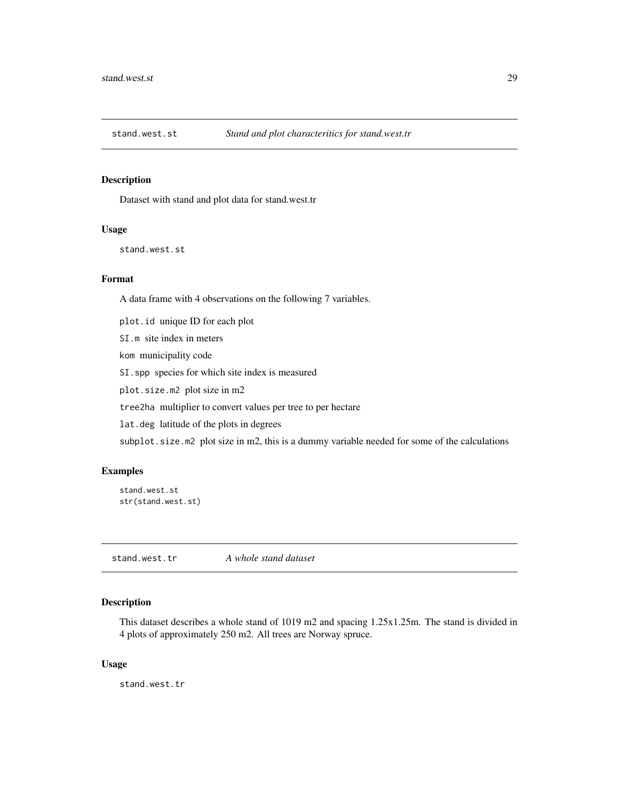<span id="page-28-0"></span>

#### Description

Dataset with stand and plot data for stand.west.tr

#### Usage

stand.west.st

#### Format

A data frame with 4 observations on the following 7 variables.

plot.id unique ID for each plot

SI.m site index in meters

kom municipality code

SI.spp species for which site index is measured

plot.size.m2 plot size in m2

tree2ha multiplier to convert values per tree to per hectare

lat.deg latitude of the plots in degrees

subplot.size.m2 plot size in m2, this is a dummy variable needed for some of the calculations

#### Examples

stand.west.st str(stand.west.st)

stand.west.tr *A whole stand dataset*

# Description

This dataset describes a whole stand of 1019 m2 and spacing 1.25x1.25m. The stand is divided in 4 plots of approximately 250 m2. All trees are Norway spruce.

#### Usage

stand.west.tr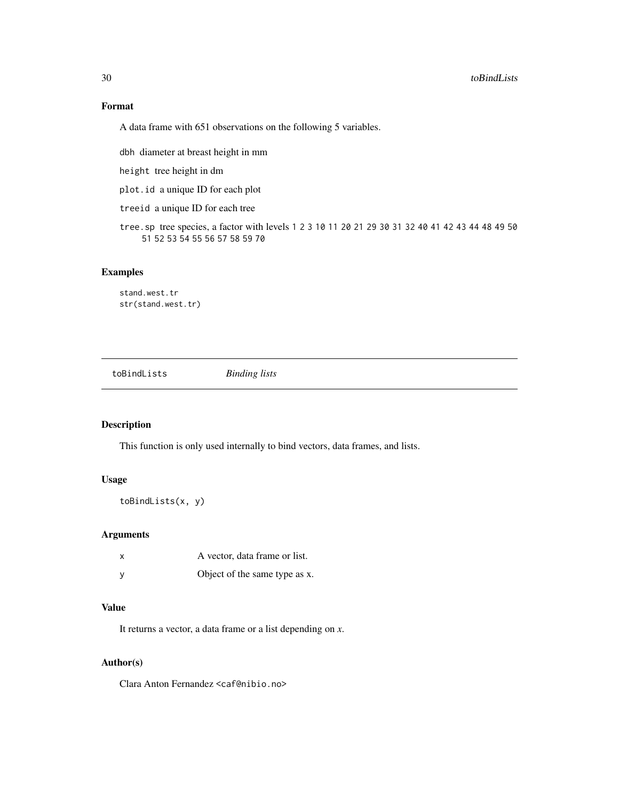# Format

A data frame with 651 observations on the following 5 variables.

dbh diameter at breast height in mm

height tree height in dm

plot.id a unique ID for each plot

treeid a unique ID for each tree

tree.sp tree species, a factor with levels 1 2 3 10 11 20 21 29 30 31 32 40 41 42 43 44 48 49 50 51 52 53 54 55 56 57 58 59 70

# Examples

stand.west.tr str(stand.west.tr)

toBindLists *Binding lists*

# Description

This function is only used internally to bind vectors, data frames, and lists.

# Usage

```
toBindLists(x, y)
```
#### Arguments

| X        | A vector, data frame or list. |
|----------|-------------------------------|
| <b>V</b> | Object of the same type as x. |

#### Value

It returns a vector, a data frame or a list depending on *x*.

#### Author(s)

Clara Anton Fernandez <caf@nibio.no>

<span id="page-29-0"></span>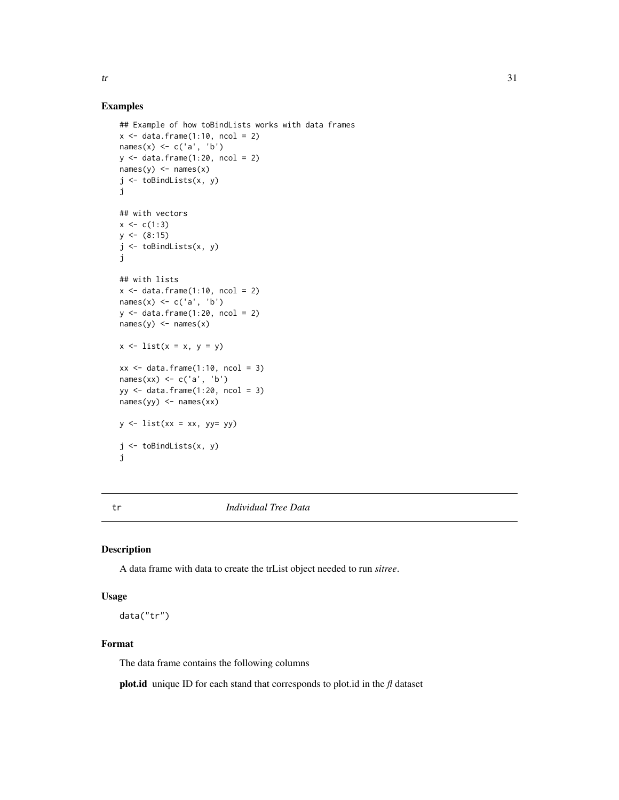<span id="page-30-0"></span>

#### Examples

```
## Example of how toBindLists works with data frames
x \le - data.frame(1:10, \text{ ncol} = 2)names(x) <- c('a', 'b')y \leftarrow data . frame(1:20, \text{ ncol} = 2)names(y) <- names(x)j <- toBindLists(x, y)
j
## with vectors
x \leq -c(1:3)y \leftarrow (8:15)j <- toBindLists(x, y)
j
## with lists
x \leftarrow \text{data}.\text{frame}(1:10, \text{ ncol} = 2)names(x) <- c('a', 'b')y \leftarrow data . frame(1:20, ncol = 2)names(y) <- names(x)x \le -\text{list}(x = x, y = y)xx \leq data.frame(1:10, \text{ ncol} = 3)names(xx) <- c('a', 'b')
yy <- data.frame(1:20, ncol = 3)
names(yy) <- names(xx)y \leftarrow list(xx = xx, yy= yy)
j <- toBindLists(x, y)
j
```
tr *Individual Tree Data*

# Description

A data frame with data to create the trList object needed to run *sitree*.

#### Usage

data("tr")

### Format

The data frame contains the following columns

plot.id unique ID for each stand that corresponds to plot.id in the *fl* dataset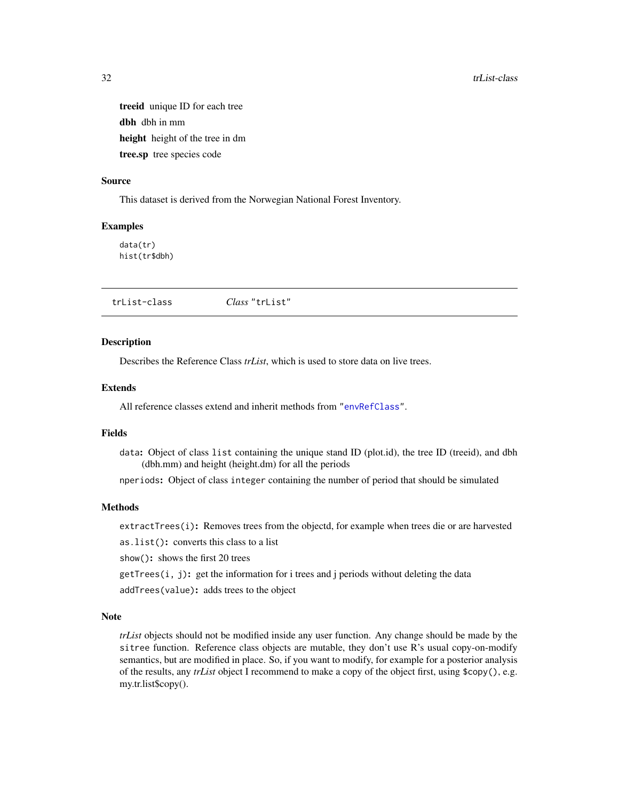treeid unique ID for each tree dbh dbh in mm height height of the tree in dm tree.sp tree species code

#### Source

This dataset is derived from the Norwegian National Forest Inventory.

#### Examples

data(tr) hist(tr\$dbh)

<span id="page-31-1"></span>

|--|

#### <span id="page-31-2"></span>Description

Describes the Reference Class *trList*, which is used to store data on live trees.

#### Extends

All reference classes extend and inherit methods from ["envRefClass"](#page-0-0).

# Fields

data: Object of class list containing the unique stand ID (plot.id), the tree ID (treeid), and dbh (dbh.mm) and height (height.dm) for all the periods

nperiods: Object of class integer containing the number of period that should be simulated

# Methods

extractTrees(i): Removes trees from the objectd, for example when trees die or are harvested

as.list(): converts this class to a list

show(): shows the first 20 trees

 $getTrees(i, j)$ : get the information for i trees and j periods without deleting the data

addTrees(value): adds trees to the object

# Note

*trList* objects should not be modified inside any user function. Any change should be made by the sitree function. Reference class objects are mutable, they don't use R's usual copy-on-modify semantics, but are modified in place. So, if you want to modify, for example for a posterior analysis of the results, any *trList* object I recommend to make a copy of the object first, using \$copy(), e.g. my.tr.list\$copy().

<span id="page-31-0"></span>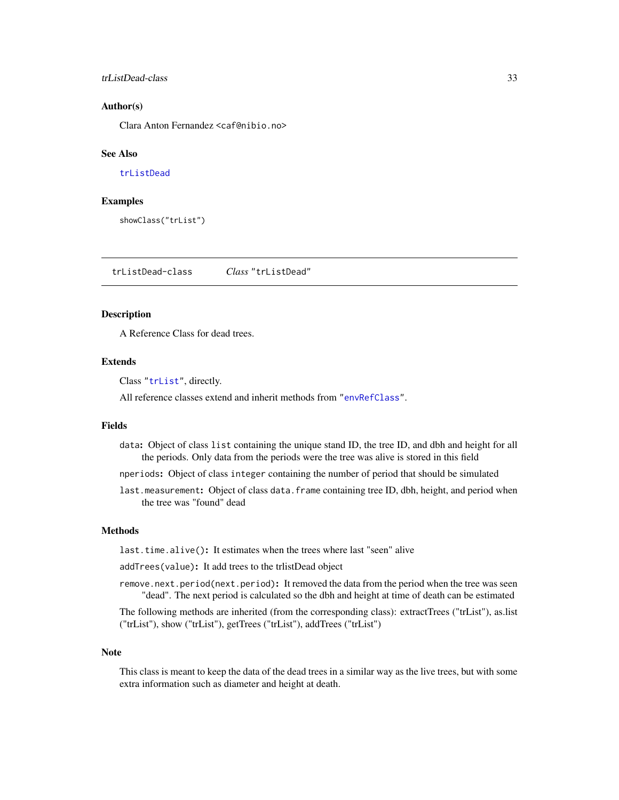#### <span id="page-32-0"></span>trListDead-class 33

#### Author(s)

Clara Anton Fernandez <caf@nibio.no>

#### See Also

[trListDead](#page-32-1)

#### Examples

showClass("trList")

<span id="page-32-1"></span>trListDead-class *Class* "trListDead"

#### **Description**

A Reference Class for dead trees.

# Extends

Class ["trList"](#page-31-1), directly.

All reference classes extend and inherit methods from ["envRefClass"](#page-0-0).

#### Fields

data: Object of class list containing the unique stand ID, the tree ID, and dbh and height for all the periods. Only data from the periods were the tree was alive is stored in this field

nperiods: Object of class integer containing the number of period that should be simulated

last.measurement: Object of class data.frame containing tree ID, dbh, height, and period when the tree was "found" dead

#### Methods

last.time.alive(): It estimates when the trees where last "seen" alive

addTrees(value): It add trees to the trlistDead object

remove.next.period(next.period): It removed the data from the period when the tree was seen "dead". The next period is calculated so the dbh and height at time of death can be estimated

The following methods are inherited (from the corresponding class): extractTrees ("trList"), as.list ("trList"), show ("trList"), getTrees ("trList"), addTrees ("trList")

#### Note

This class is meant to keep the data of the dead trees in a similar way as the live trees, but with some extra information such as diameter and height at death.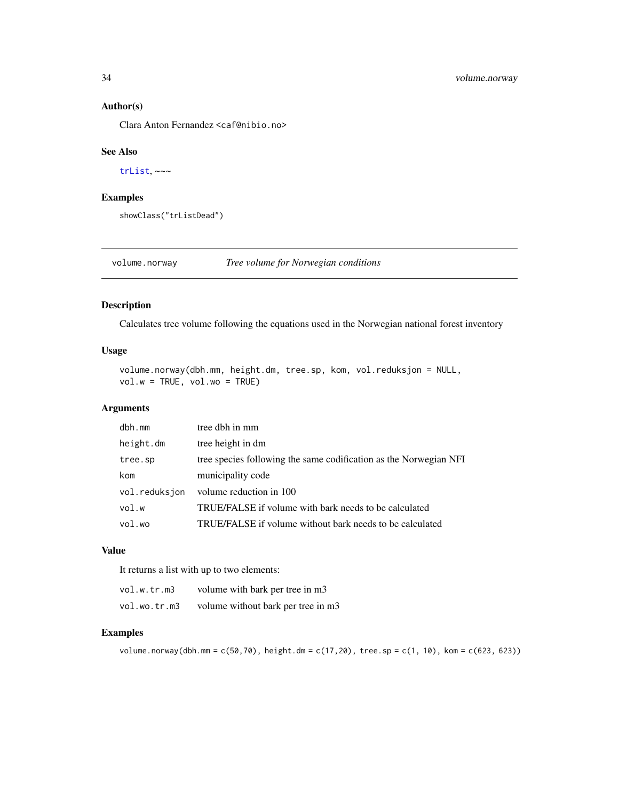#### Author(s)

Clara Anton Fernandez <caf@nibio.no>

#### See Also

[trList](#page-31-2), ~~~

# Examples

showClass("trListDead")

volume.norway *Tree volume for Norwegian conditions*

# Description

Calculates tree volume following the equations used in the Norwegian national forest inventory

# Usage

```
volume.norway(dbh.mm, height.dm, tree.sp, kom, vol.reduksjon = NULL,
vol.w = TRUE, vol.w = TRUE)
```
# Arguments

| $dbh$ . mm    | tree dbh in mm                                                    |
|---------------|-------------------------------------------------------------------|
| height.dm     | tree height in dm                                                 |
| tree.sp       | tree species following the same codification as the Norwegian NFI |
| kom           | municipality code                                                 |
| vol.reduksjon | volume reduction in 100                                           |
| vol.w         | TRUE/FALSE if volume with bark needs to be calculated             |
| vol.wo        | TRUE/FALSE if volume without bark needs to be calculated          |

# Value

It returns a list with up to two elements:

| vol.w.tr.m3  | volume with bark per tree in m3    |
|--------------|------------------------------------|
| vol.wo.tr.m3 | volume without bark per tree in m3 |

```
volume.norway(dbh.mm = c(50,70), height.dm = c(17,20), tree.sp = c(1, 10), kom = c(623, 623))
```
<span id="page-33-0"></span>